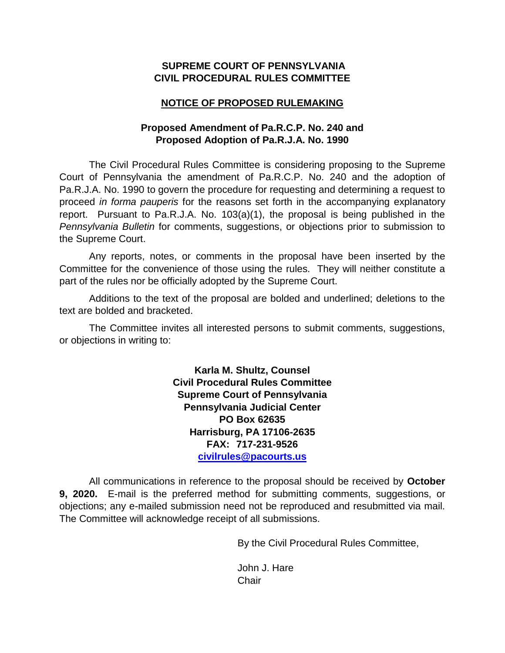### **SUPREME COURT OF PENNSYLVANIA CIVIL PROCEDURAL RULES COMMITTEE**

### **NOTICE OF PROPOSED RULEMAKING**

### **Proposed Amendment of Pa.R.C.P. No. 240 and Proposed Adoption of Pa.R.J.A. No. 1990**

The Civil Procedural Rules Committee is considering proposing to the Supreme Court of Pennsylvania the amendment of Pa.R.C.P. No. 240 and the adoption of Pa.R.J.A. No. 1990 to govern the procedure for requesting and determining a request to proceed *in forma pauperis* for the reasons set forth in the accompanying explanatory report. Pursuant to Pa.R.J.A. No. 103(a)(1), the proposal is being published in the *Pennsylvania Bulletin* for comments, suggestions, or objections prior to submission to the Supreme Court.

Any reports, notes, or comments in the proposal have been inserted by the Committee for the convenience of those using the rules. They will neither constitute a part of the rules nor be officially adopted by the Supreme Court.

Additions to the text of the proposal are bolded and underlined; deletions to the text are bolded and bracketed.

The Committee invites all interested persons to submit comments, suggestions, or objections in writing to:

> **Karla M. Shultz, Counsel Civil Procedural Rules Committee Supreme Court of Pennsylvania Pennsylvania Judicial Center PO Box 62635 Harrisburg, PA 17106-2635 FAX: 717-231-9526 [civilrules@pacourts.us](mailto:civilrules@pacourts.us)**

All communications in reference to the proposal should be received by **October 9, 2020.** E-mail is the preferred method for submitting comments, suggestions, or objections; any e-mailed submission need not be reproduced and resubmitted via mail. The Committee will acknowledge receipt of all submissions.

By the Civil Procedural Rules Committee,

John J. Hare **Chair**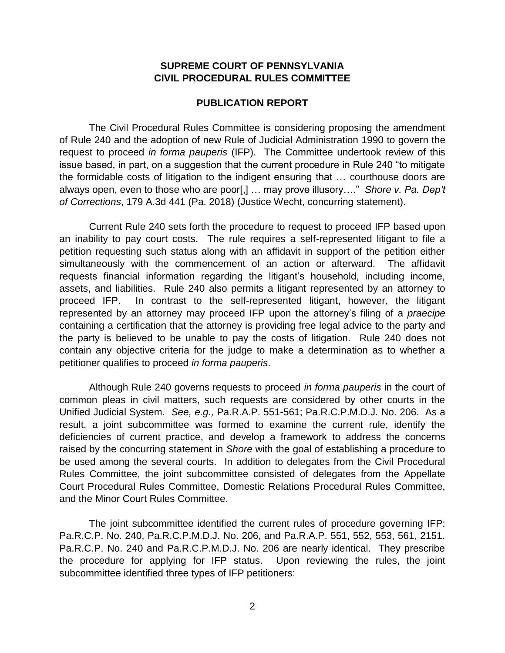#### **SUPREME COURT OF PENNSYLVANIA CIVIL PROCEDURAL RULES COMMITTEE**

#### **PUBLICATION REPORT**

The Civil Procedural Rules Committee is considering proposing the amendment of Rule 240 and the adoption of new Rule of Judicial Administration 1990 to govern the request to proceed *in forma pauperis* (IFP). The Committee undertook review of this issue based, in part, on a suggestion that the current procedure in Rule 240 "to mitigate the formidable costs of litigation to the indigent ensuring that … courthouse doors are always open, even to those who are poor[,] … may prove illusory…." *Shore v. Pa. Dep't of Corrections*, 179 A.3d 441 (Pa. 2018) (Justice Wecht, concurring statement).

Current Rule 240 sets forth the procedure to request to proceed IFP based upon an inability to pay court costs. The rule requires a self-represented litigant to file a petition requesting such status along with an affidavit in support of the petition either simultaneously with the commencement of an action or afterward. The affidavit requests financial information regarding the litigant's household, including income, assets, and liabilities. Rule 240 also permits a litigant represented by an attorney to proceed IFP. In contrast to the self-represented litigant, however, the litigant represented by an attorney may proceed IFP upon the attorney's filing of a *praecipe* containing a certification that the attorney is providing free legal advice to the party and the party is believed to be unable to pay the costs of litigation. Rule 240 does not contain any objective criteria for the judge to make a determination as to whether a petitioner qualifies to proceed *in forma pauperis*.

Although Rule 240 governs requests to proceed *in forma pauperis* in the court of common pleas in civil matters, such requests are considered by other courts in the Unified Judicial System. *See, e.g.,* Pa.R.A.P. 551-561; Pa.R.C.P.M.D.J. No. 206. As a result, a joint subcommittee was formed to examine the current rule, identify the deficiencies of current practice, and develop a framework to address the concerns raised by the concurring statement in *Shore* with the goal of establishing a procedure to be used among the several courts. In addition to delegates from the Civil Procedural Rules Committee, the joint subcommittee consisted of delegates from the Appellate Court Procedural Rules Committee, Domestic Relations Procedural Rules Committee, and the Minor Court Rules Committee.

The joint subcommittee identified the current rules of procedure governing IFP: Pa.R.C.P. No. 240, Pa.R.C.P.M.D.J. No. 206, and Pa.R.A.P. 551, 552, 553, 561, 2151. Pa.R.C.P. No. 240 and Pa.R.C.P.M.D.J. No. 206 are nearly identical. They prescribe the procedure for applying for IFP status. Upon reviewing the rules, the joint subcommittee identified three types of IFP petitioners: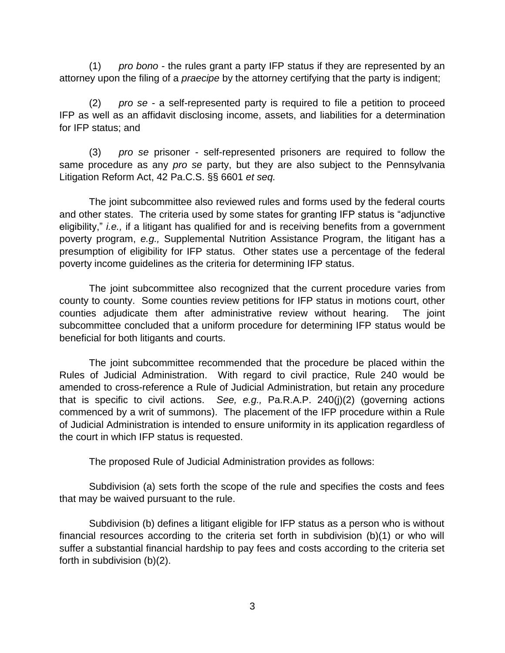(1) *pro bono* - the rules grant a party IFP status if they are represented by an attorney upon the filing of a *praecipe* by the attorney certifying that the party is indigent;

(2) *pro se* - a self-represented party is required to file a petition to proceed IFP as well as an affidavit disclosing income, assets, and liabilities for a determination for IFP status; and

(3) *pro se* prisoner - self-represented prisoners are required to follow the same procedure as any *pro se* party, but they are also subject to the Pennsylvania Litigation Reform Act, 42 Pa.C.S. §§ 6601 *et seq.*

The joint subcommittee also reviewed rules and forms used by the federal courts and other states. The criteria used by some states for granting IFP status is "adjunctive eligibility," *i.e.,* if a litigant has qualified for and is receiving benefits from a government poverty program, *e.g.,* Supplemental Nutrition Assistance Program, the litigant has a presumption of eligibility for IFP status. Other states use a percentage of the federal poverty income guidelines as the criteria for determining IFP status.

The joint subcommittee also recognized that the current procedure varies from county to county. Some counties review petitions for IFP status in motions court, other counties adjudicate them after administrative review without hearing. The joint subcommittee concluded that a uniform procedure for determining IFP status would be beneficial for both litigants and courts.

The joint subcommittee recommended that the procedure be placed within the Rules of Judicial Administration. With regard to civil practice, Rule 240 would be amended to cross-reference a Rule of Judicial Administration, but retain any procedure that is specific to civil actions. *See, e.g.,* Pa.R.A.P. 240(j)(2) (governing actions commenced by a writ of summons). The placement of the IFP procedure within a Rule of Judicial Administration is intended to ensure uniformity in its application regardless of the court in which IFP status is requested.

The proposed Rule of Judicial Administration provides as follows:

Subdivision (a) sets forth the scope of the rule and specifies the costs and fees that may be waived pursuant to the rule.

Subdivision (b) defines a litigant eligible for IFP status as a person who is without financial resources according to the criteria set forth in subdivision (b)(1) or who will suffer a substantial financial hardship to pay fees and costs according to the criteria set forth in subdivision (b)(2).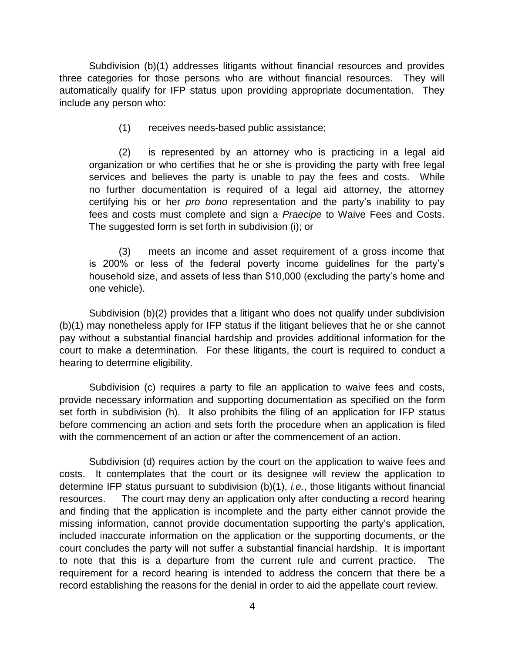Subdivision (b)(1) addresses litigants without financial resources and provides three categories for those persons who are without financial resources. They will automatically qualify for IFP status upon providing appropriate documentation. They include any person who:

(1) receives needs-based public assistance;

(2) is represented by an attorney who is practicing in a legal aid organization or who certifies that he or she is providing the party with free legal services and believes the party is unable to pay the fees and costs. While no further documentation is required of a legal aid attorney, the attorney certifying his or her *pro bono* representation and the party's inability to pay fees and costs must complete and sign a *Praecipe* to Waive Fees and Costs. The suggested form is set forth in subdivision (i); or

(3) meets an income and asset requirement of a gross income that is 200% or less of the federal poverty income guidelines for the party's household size, and assets of less than \$10,000 (excluding the party's home and one vehicle).

Subdivision (b)(2) provides that a litigant who does not qualify under subdivision (b)(1) may nonetheless apply for IFP status if the litigant believes that he or she cannot pay without a substantial financial hardship and provides additional information for the court to make a determination. For these litigants, the court is required to conduct a hearing to determine eligibility.

Subdivision (c) requires a party to file an application to waive fees and costs, provide necessary information and supporting documentation as specified on the form set forth in subdivision (h). It also prohibits the filing of an application for IFP status before commencing an action and sets forth the procedure when an application is filed with the commencement of an action or after the commencement of an action.

Subdivision (d) requires action by the court on the application to waive fees and costs. It contemplates that the court or its designee will review the application to determine IFP status pursuant to subdivision (b)(1), *i.e.*, those litigants without financial resources. The court may deny an application only after conducting a record hearing and finding that the application is incomplete and the party either cannot provide the missing information, cannot provide documentation supporting the party's application, included inaccurate information on the application or the supporting documents, or the court concludes the party will not suffer a substantial financial hardship. It is important to note that this is a departure from the current rule and current practice. The requirement for a record hearing is intended to address the concern that there be a record establishing the reasons for the denial in order to aid the appellate court review.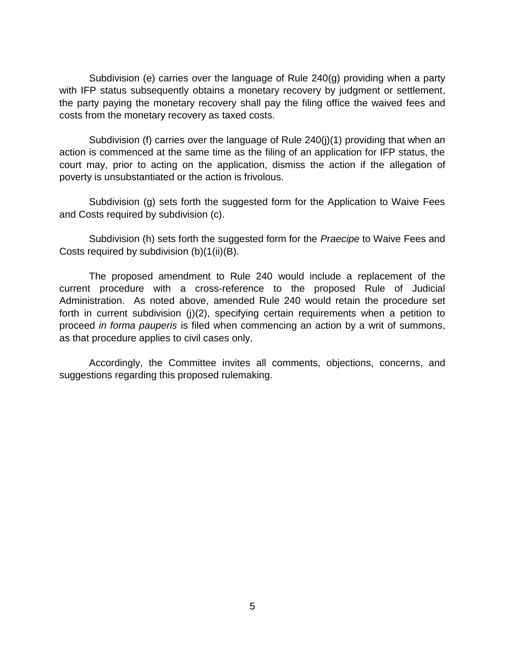Subdivision (e) carries over the language of Rule 240(g) providing when a party with IFP status subsequently obtains a monetary recovery by judgment or settlement, the party paying the monetary recovery shall pay the filing office the waived fees and costs from the monetary recovery as taxed costs.

Subdivision (f) carries over the language of Rule 240(j)(1) providing that when an action is commenced at the same time as the filing of an application for IFP status, the court may, prior to acting on the application, dismiss the action if the allegation of poverty is unsubstantiated or the action is frivolous.

Subdivision (g) sets forth the suggested form for the Application to Waive Fees and Costs required by subdivision (c).

Subdivision (h) sets forth the suggested form for the *Praecipe* to Waive Fees and Costs required by subdivision (b)(1(ii)(B).

The proposed amendment to Rule 240 would include a replacement of the current procedure with a cross-reference to the proposed Rule of Judicial Administration. As noted above, amended Rule 240 would retain the procedure set forth in current subdivision (j)(2), specifying certain requirements when a petition to proceed *in forma pauperis* is filed when commencing an action by a writ of summons, as that procedure applies to civil cases only.

Accordingly, the Committee invites all comments, objections, concerns, and suggestions regarding this proposed rulemaking.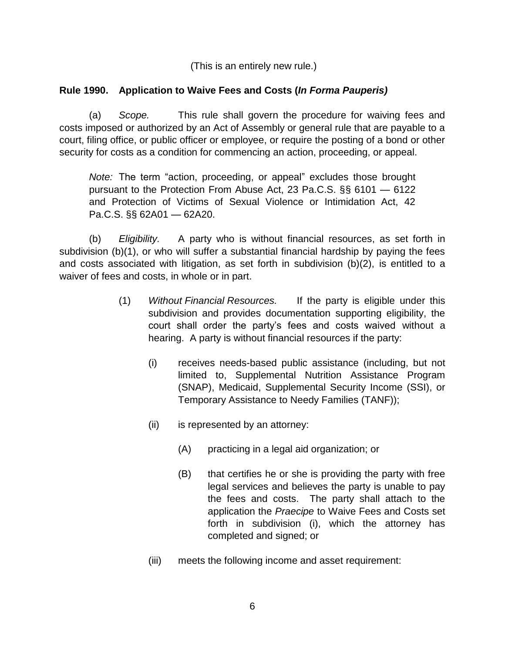(This is an entirely new rule.)

### **Rule 1990. Application to Waive Fees and Costs (***In Forma Pauperis)*

(a) *Scope.* This rule shall govern the procedure for waiving fees and costs imposed or authorized by an Act of Assembly or general rule that are payable to a court, filing office, or public officer or employee, or require the posting of a bond or other security for costs as a condition for commencing an action, proceeding, or appeal.

*Note:* The term "action, proceeding, or appeal" excludes those brought pursuant to the Protection From Abuse Act, 23 Pa.C.S. §§ 6101 — 6122 and Protection of Victims of Sexual Violence or Intimidation Act, 42 Pa.C.S. §§ 62A01 — 62A20.

(b) *Eligibility.* A party who is without financial resources, as set forth in subdivision (b)(1), or who will suffer a substantial financial hardship by paying the fees and costs associated with litigation, as set forth in subdivision (b)(2), is entitled to a waiver of fees and costs, in whole or in part.

- (1) *Without Financial Resources.* If the party is eligible under this subdivision and provides documentation supporting eligibility, the court shall order the party's fees and costs waived without a hearing. A party is without financial resources if the party:
	- (i) receives needs-based public assistance (including, but not limited to, Supplemental Nutrition Assistance Program (SNAP), Medicaid, Supplemental Security Income (SSI), or Temporary Assistance to Needy Families (TANF));
	- (ii) is represented by an attorney:
		- (A) practicing in a legal aid organization; or
		- (B) that certifies he or she is providing the party with free legal services and believes the party is unable to pay the fees and costs. The party shall attach to the application the *Praecipe* to Waive Fees and Costs set forth in subdivision (i), which the attorney has completed and signed; or
	- (iii) meets the following income and asset requirement: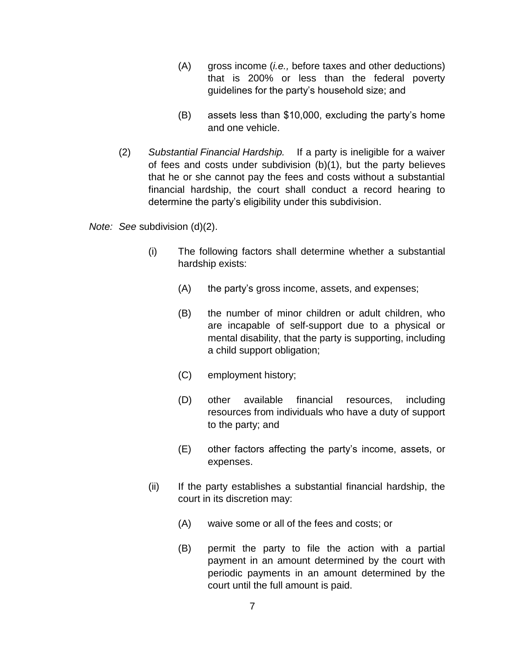- (A) gross income (*i.e.,* before taxes and other deductions) that is 200% or less than the federal poverty guidelines for the party's household size; and
- (B) assets less than \$10,000, excluding the party's home and one vehicle.
- (2) *Substantial Financial Hardship.* If a party is ineligible for a waiver of fees and costs under subdivision (b)(1), but the party believes that he or she cannot pay the fees and costs without a substantial financial hardship, the court shall conduct a record hearing to determine the party's eligibility under this subdivision.

*Note: See* subdivision (d)(2).

- (i) The following factors shall determine whether a substantial hardship exists:
	- (A) the party's gross income, assets, and expenses;
	- (B) the number of minor children or adult children, who are incapable of self-support due to a physical or mental disability, that the party is supporting, including a child support obligation;
	- (C) employment history;
	- (D) other available financial resources, including resources from individuals who have a duty of support to the party; and
	- (E) other factors affecting the party's income, assets, or expenses.
- (ii) If the party establishes a substantial financial hardship, the court in its discretion may:
	- (A) waive some or all of the fees and costs; or
	- (B) permit the party to file the action with a partial payment in an amount determined by the court with periodic payments in an amount determined by the court until the full amount is paid.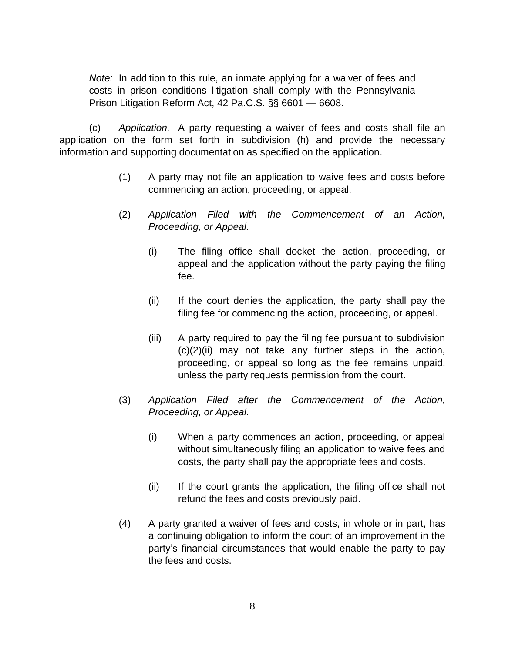*Note:* In addition to this rule, an inmate applying for a waiver of fees and costs in prison conditions litigation shall comply with the Pennsylvania Prison Litigation Reform Act, 42 Pa.C.S. §§ 6601 — 6608.

(c) *Application.* A party requesting a waiver of fees and costs shall file an application on the form set forth in subdivision (h) and provide the necessary information and supporting documentation as specified on the application.

- (1) A party may not file an application to waive fees and costs before commencing an action, proceeding, or appeal.
- (2) *Application Filed with the Commencement of an Action, Proceeding, or Appeal.*
	- (i) The filing office shall docket the action, proceeding, or appeal and the application without the party paying the filing fee.
	- (ii) If the court denies the application, the party shall pay the filing fee for commencing the action, proceeding, or appeal.
	- (iii) A party required to pay the filing fee pursuant to subdivision  $(c)(2)(ii)$  may not take any further steps in the action, proceeding, or appeal so long as the fee remains unpaid, unless the party requests permission from the court.
- (3) *Application Filed after the Commencement of the Action, Proceeding, or Appeal.*
	- (i) When a party commences an action, proceeding, or appeal without simultaneously filing an application to waive fees and costs, the party shall pay the appropriate fees and costs.
	- (ii) If the court grants the application, the filing office shall not refund the fees and costs previously paid.
- (4) A party granted a waiver of fees and costs, in whole or in part, has a continuing obligation to inform the court of an improvement in the party's financial circumstances that would enable the party to pay the fees and costs.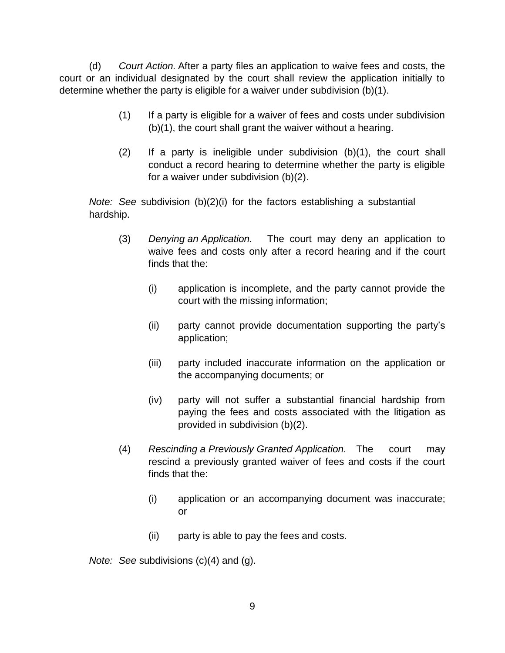(d) *Court Action.* After a party files an application to waive fees and costs, the court or an individual designated by the court shall review the application initially to determine whether the party is eligible for a waiver under subdivision (b)(1).

- (1) If a party is eligible for a waiver of fees and costs under subdivision (b)(1), the court shall grant the waiver without a hearing.
- (2) If a party is ineligible under subdivision (b)(1), the court shall conduct a record hearing to determine whether the party is eligible for a waiver under subdivision (b)(2).

*Note: See* subdivision (b)(2)(i) for the factors establishing a substantial hardship.

- (3) *Denying an Application.* The court may deny an application to waive fees and costs only after a record hearing and if the court finds that the:
	- (i) application is incomplete, and the party cannot provide the court with the missing information;
	- (ii) party cannot provide documentation supporting the party's application;
	- (iii) party included inaccurate information on the application or the accompanying documents; or
	- (iv) party will not suffer a substantial financial hardship from paying the fees and costs associated with the litigation as provided in subdivision (b)(2).
- (4) *Rescinding a Previously Granted Application.* The court may rescind a previously granted waiver of fees and costs if the court finds that the:
	- (i) application or an accompanying document was inaccurate; or
	- (ii) party is able to pay the fees and costs.

*Note: See* subdivisions (c)(4) and (g).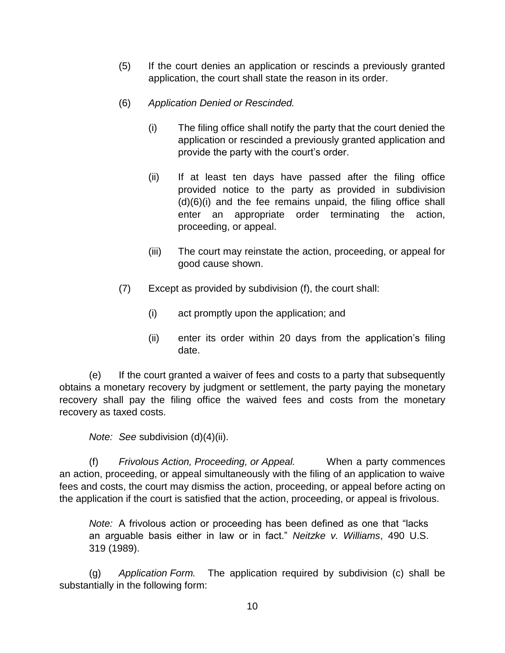- (5) If the court denies an application or rescinds a previously granted application, the court shall state the reason in its order.
- (6) *Application Denied or Rescinded.*
	- (i) The filing office shall notify the party that the court denied the application or rescinded a previously granted application and provide the party with the court's order.
	- (ii) If at least ten days have passed after the filing office provided notice to the party as provided in subdivision (d)(6)(i) and the fee remains unpaid, the filing office shall enter an appropriate order terminating the action, proceeding, or appeal.
	- (iii) The court may reinstate the action, proceeding, or appeal for good cause shown.
- (7) Except as provided by subdivision (f), the court shall:
	- (i) act promptly upon the application; and
	- (ii) enter its order within 20 days from the application's filing date.

(e) If the court granted a waiver of fees and costs to a party that subsequently obtains a monetary recovery by judgment or settlement, the party paying the monetary recovery shall pay the filing office the waived fees and costs from the monetary recovery as taxed costs.

*Note: See* subdivision (d)(4)(ii).

(f) *Frivolous Action, Proceeding, or Appeal.* When a party commences an action, proceeding, or appeal simultaneously with the filing of an application to waive fees and costs, the court may dismiss the action, proceeding, or appeal before acting on the application if the court is satisfied that the action, proceeding, or appeal is frivolous.

*Note:* A frivolous action or proceeding has been defined as one that "lacks an arguable basis either in law or in fact." *Neitzke v. Williams*, 490 U.S. 319 (1989).

(g) *Application Form.* The application required by subdivision (c) shall be substantially in the following form: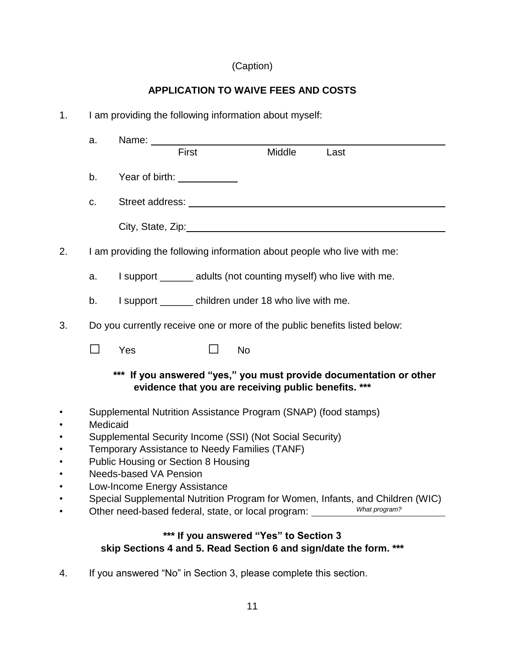# (Caption)

## **APPLICATION TO WAIVE FEES AND COSTS**

| 1. |                                                                               | I am providing the following information about myself:                                                                     |  |  |  |  |  |
|----|-------------------------------------------------------------------------------|----------------------------------------------------------------------------------------------------------------------------|--|--|--|--|--|
|    | a.                                                                            |                                                                                                                            |  |  |  |  |  |
|    |                                                                               | Middle<br>First<br>Last                                                                                                    |  |  |  |  |  |
|    | b.                                                                            | Year of birth: <u>Next Assemble</u>                                                                                        |  |  |  |  |  |
|    | C.                                                                            |                                                                                                                            |  |  |  |  |  |
|    |                                                                               |                                                                                                                            |  |  |  |  |  |
| 2. |                                                                               | I am providing the following information about people who live with me:                                                    |  |  |  |  |  |
|    | a.                                                                            | I support ______ adults (not counting myself) who live with me.                                                            |  |  |  |  |  |
|    | b.                                                                            | I support ________ children under 18 who live with me.                                                                     |  |  |  |  |  |
| 3. |                                                                               | Do you currently receive one or more of the public benefits listed below:                                                  |  |  |  |  |  |
|    | П                                                                             | Yes<br><b>No</b>                                                                                                           |  |  |  |  |  |
|    |                                                                               | *** If you answered "yes," you must provide documentation or other<br>evidence that you are receiving public benefits. *** |  |  |  |  |  |
|    |                                                                               | Supplemental Nutrition Assistance Program (SNAP) (food stamps)                                                             |  |  |  |  |  |
|    | Medicaid<br>Supplemental Security Income (SSI) (Not Social Security)          |                                                                                                                            |  |  |  |  |  |
|    |                                                                               | Temporary Assistance to Needy Families (TANF)                                                                              |  |  |  |  |  |
|    | <b>Public Housing or Section 8 Housing</b><br><b>Needs-based VA Pension</b>   |                                                                                                                            |  |  |  |  |  |
|    | Low-Income Energy Assistance                                                  |                                                                                                                            |  |  |  |  |  |
|    | Special Supplemental Nutrition Program for Women, Infants, and Children (WIC) |                                                                                                                            |  |  |  |  |  |
|    |                                                                               | What program?<br>Other need-based federal, state, or local program: ____                                                   |  |  |  |  |  |
|    |                                                                               | *** If you answered "Yes" to Section 3                                                                                     |  |  |  |  |  |
|    |                                                                               | skip Sections 4 and 5. Read Section 6 and sign/date the form. ***                                                          |  |  |  |  |  |

4. If you answered "No" in Section 3, please complete this section.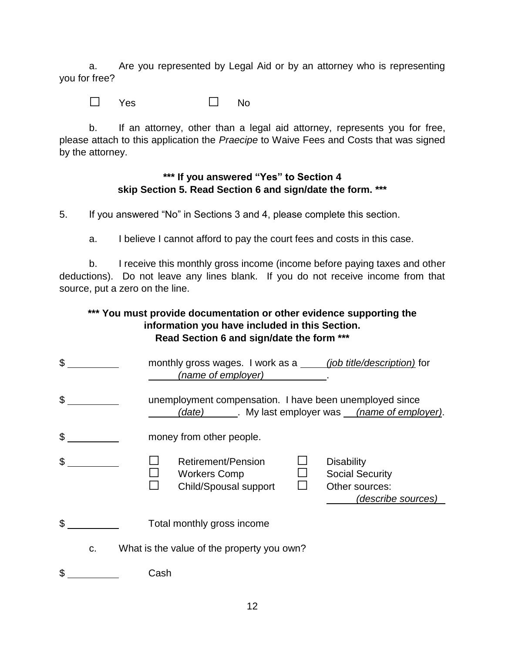a. Are you represented by Legal Aid or by an attorney who is representing you for free?

□ Yes □ No

b. If an attorney, other than a legal aid attorney, represents you for free, please attach to this application the *Praecipe* to Waive Fees and Costs that was signed by the attorney.

### **\*\*\* If you answered "Yes" to Section 4 skip Section 5. Read Section 6 and sign/date the form. \*\*\***

5. If you answered "No" in Sections 3 and 4, please complete this section.

a. I believe I cannot afford to pay the court fees and costs in this case.

b. I receive this monthly gross income (income before paying taxes and other deductions). Do not leave any lines blank. If you do not receive income from that source, put a zero on the line.

### **\*\*\* You must provide documentation or other evidence supporting the information you have included in this Section. Read Section 6 and sign/date the form \*\*\***

\$ monthly gross wages. I work as a *(job title/description)* for *(name of employer)* . \$ *(date)* . My last employer was *(name of employer)*. \$ money from other people. \$ □ Retirement/Pension □ Disability □ Workers Comp □ Social Security<br>□ Child/Spousal support □ Other sources: Child/Spousal support *(describe sources)* \$ c. What is the value of the property you own? \$ Cash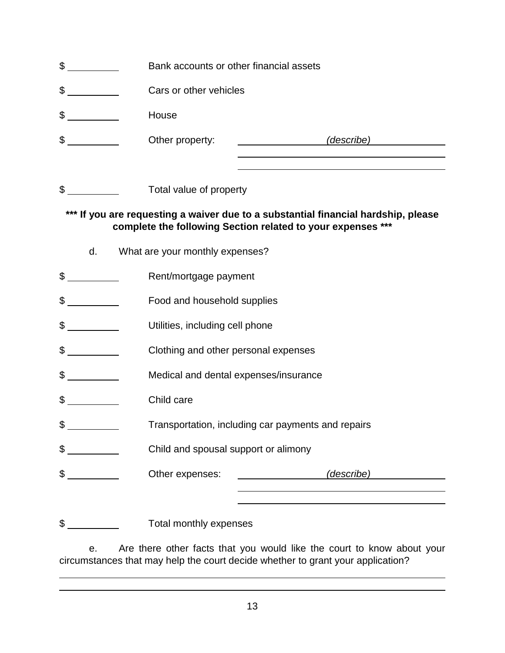- \$ Bank accounts or other financial assets
- \$
- \$ House
- \$ Other property: *(describe)*
- \$

### **\*\*\* If you are requesting a waiver due to a substantial financial hardship, please complete the following Section related to your expenses \*\*\***

- d. What are your monthly expenses?
- \$
- \$ \_\_\_\_\_\_\_\_\_ Food and household supplies
- \$
- \$
- \$ Medical and dental expenses/insurance
- \$ Child care
- \$
- \$ Child and spousal support or alimony
- \$ Other expenses: *(describe)*

\$

e. Are there other facts that you would like the court to know about your circumstances that may help the court decide whether to grant your application?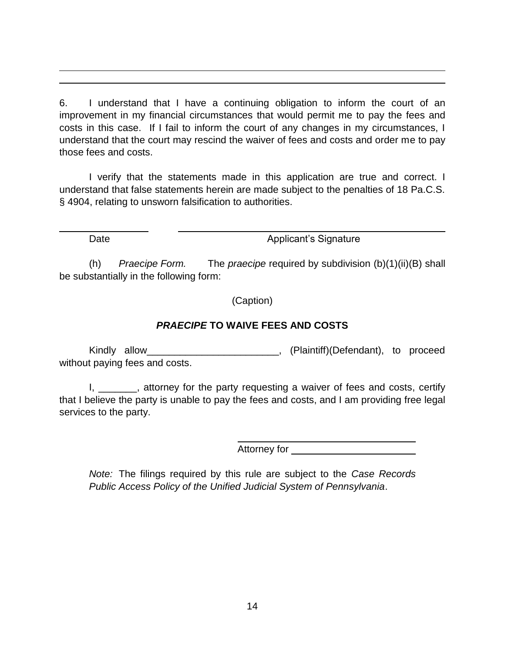6. I understand that I have a continuing obligation to inform the court of an improvement in my financial circumstances that would permit me to pay the fees and costs in this case. If I fail to inform the court of any changes in my circumstances, I understand that the court may rescind the waiver of fees and costs and order me to pay those fees and costs.

I verify that the statements made in this application are true and correct. I understand that false statements herein are made subject to the penalties of 18 Pa.C.S. § 4904, relating to unsworn falsification to authorities.

Date **Date** Applicant's Signature

(h) *Praecipe Form.* The *praecipe* required by subdivision (b)(1)(ii)(B) shall be substantially in the following form:

(Caption)

## *PRAECIPE* **TO WAIVE FEES AND COSTS**

Kindly allow\_\_\_\_\_\_\_\_\_\_\_\_\_\_\_\_\_\_\_\_\_\_\_\_, (Plaintiff)(Defendant), to proceed without paying fees and costs.

I, \_\_\_\_\_\_, attorney for the party requesting a waiver of fees and costs, certify that I believe the party is unable to pay the fees and costs, and I am providing free legal services to the party.

Attorney for **Attorney for** 

*Note:* The filings required by this rule are subject to the *Case Records Public Access Policy of the Unified Judicial System of Pennsylvania*.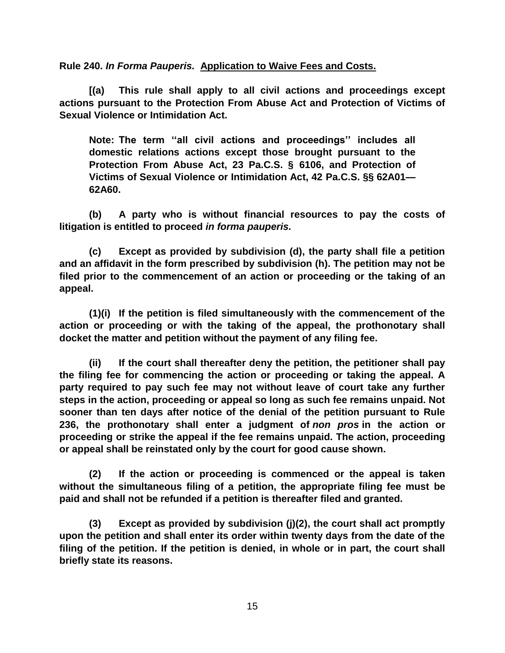**Rule 240.** *In Forma Pauperis.* **Application to Waive Fees and Costs.**

**[(a) This rule shall apply to all civil actions and proceedings except actions pursuant to the Protection From Abuse Act and Protection of Victims of Sexual Violence or Intimidation Act.**

**Note: The term ''all civil actions and proceedings'' includes all domestic relations actions except those brought pursuant to the Protection From Abuse Act, 23 Pa.C.S. § 6106, and Protection of Victims of Sexual Violence or Intimidation Act, 42 Pa.C.S. §§ 62A01— 62A60.**

**(b) A party who is without financial resources to pay the costs of litigation is entitled to proceed** *in forma pauperis.*

**(c) Except as provided by subdivision (d), the party shall file a petition and an affidavit in the form prescribed by subdivision (h). The petition may not be filed prior to the commencement of an action or proceeding or the taking of an appeal.**

**(1)(i) If the petition is filed simultaneously with the commencement of the action or proceeding or with the taking of the appeal, the prothonotary shall docket the matter and petition without the payment of any filing fee.**

**(ii) If the court shall thereafter deny the petition, the petitioner shall pay the filing fee for commencing the action or proceeding or taking the appeal. A party required to pay such fee may not without leave of court take any further steps in the action, proceeding or appeal so long as such fee remains unpaid. Not sooner than ten days after notice of the denial of the petition pursuant to Rule 236, the prothonotary shall enter a judgment of** *non pros* **in the action or proceeding or strike the appeal if the fee remains unpaid. The action, proceeding or appeal shall be reinstated only by the court for good cause shown.**

**(2) If the action or proceeding is commenced or the appeal is taken without the simultaneous filing of a petition, the appropriate filing fee must be paid and shall not be refunded if a petition is thereafter filed and granted.**

**(3) Except as provided by subdivision (j)(2), the court shall act promptly upon the petition and shall enter its order within twenty days from the date of the filing of the petition. If the petition is denied, in whole or in part, the court shall briefly state its reasons.**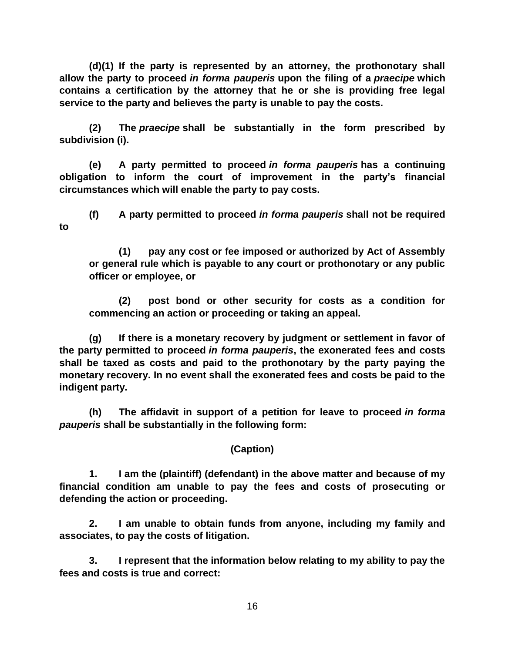**(d)(1) If the party is represented by an attorney, the prothonotary shall allow the party to proceed** *in forma pauperis* **upon the filing of a** *praecipe* **which contains a certification by the attorney that he or she is providing free legal service to the party and believes the party is unable to pay the costs.**

**(2) The** *praecipe* **shall be substantially in the form prescribed by subdivision (i).**

**(e) A party permitted to proceed** *in forma pauperis* **has a continuing obligation to inform the court of improvement in the party's financial circumstances which will enable the party to pay costs.**

**(f) A party permitted to proceed** *in forma pauperis* **shall not be required to**

**(1) pay any cost or fee imposed or authorized by Act of Assembly or general rule which is payable to any court or prothonotary or any public officer or employee, or**

**(2) post bond or other security for costs as a condition for commencing an action or proceeding or taking an appeal.**

**(g) If there is a monetary recovery by judgment or settlement in favor of the party permitted to proceed** *in forma pauperis***, the exonerated fees and costs shall be taxed as costs and paid to the prothonotary by the party paying the monetary recovery. In no event shall the exonerated fees and costs be paid to the indigent party.**

**(h) The affidavit in support of a petition for leave to proceed** *in forma pauperis* **shall be substantially in the following form:**

### **(Caption)**

 **1. I am the (plaintiff) (defendant) in the above matter and because of my financial condition am unable to pay the fees and costs of prosecuting or defending the action or proceeding.** 

 **2. I am unable to obtain funds from anyone, including my family and associates, to pay the costs of litigation.** 

 **3. I represent that the information below relating to my ability to pay the fees and costs is true and correct:** 

16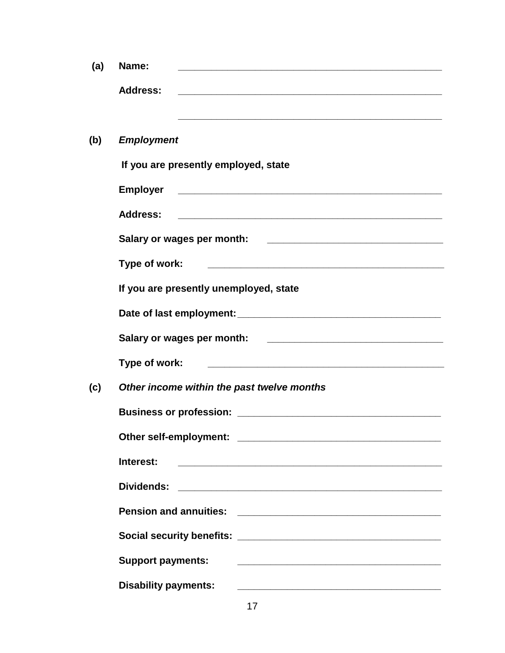| (a) | Name:                                                                                                                                              |  |  |  |  |
|-----|----------------------------------------------------------------------------------------------------------------------------------------------------|--|--|--|--|
|     | <b>Address:</b><br><u> 1989 - Johann Stoff, amerikansk politiker (d. 1989)</u>                                                                     |  |  |  |  |
|     | <u> 1989 - Johann Stoff, amerikansk politiker (* 1908)</u>                                                                                         |  |  |  |  |
| (b) | <b>Employment</b>                                                                                                                                  |  |  |  |  |
|     | If you are presently employed, state                                                                                                               |  |  |  |  |
|     | <b>Employer</b>                                                                                                                                    |  |  |  |  |
|     | <b>Address:</b>                                                                                                                                    |  |  |  |  |
|     | Salary or wages per month:<br><u> 2002 - Jan James James Jan James James James James James James James James James James James James James Jam</u> |  |  |  |  |
|     | Type of work:<br><u> 1989 - Johann John Stone, mars eta biztanleria (h. 1989).</u>                                                                 |  |  |  |  |
|     | If you are presently unemployed, state                                                                                                             |  |  |  |  |
|     |                                                                                                                                                    |  |  |  |  |
|     | Salary or wages per month:                                                                                                                         |  |  |  |  |
|     | Type of work:                                                                                                                                      |  |  |  |  |
| (c) | Other income within the past twelve months                                                                                                         |  |  |  |  |
|     | <b>Business or profession:</b>                                                                                                                     |  |  |  |  |
|     |                                                                                                                                                    |  |  |  |  |
|     | Interest:<br><u> 2000 - 2000 - 2000 - 2000 - 2000 - 2000 - 2000 - 2000 - 2000 - 2000 - 2000 - 2000 - 2000 - 2000 - 2000 - 200</u>                  |  |  |  |  |
|     | Dividends:                                                                                                                                         |  |  |  |  |
|     |                                                                                                                                                    |  |  |  |  |
|     |                                                                                                                                                    |  |  |  |  |
|     | <b>Support payments:</b>                                                                                                                           |  |  |  |  |
|     | <b>Disability payments:</b>                                                                                                                        |  |  |  |  |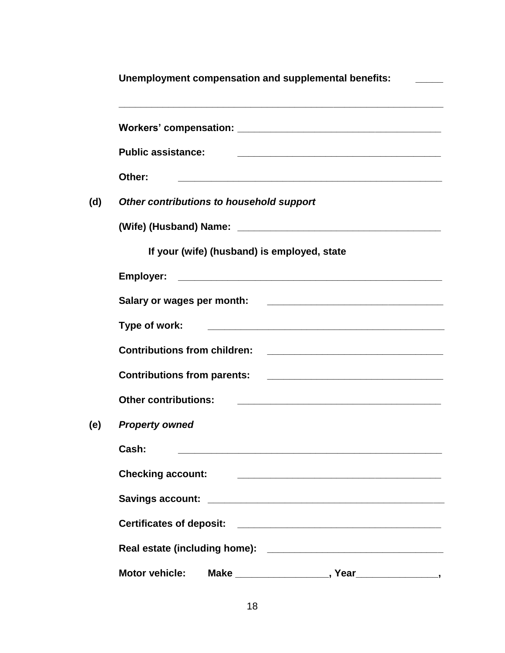|     | Unemployment compensation and supplemental benefits: |  |  |
|-----|------------------------------------------------------|--|--|
|     |                                                      |  |  |
|     | <b>Public assistance:</b>                            |  |  |
|     | Other:                                               |  |  |
| (d) | Other contributions to household support             |  |  |
|     |                                                      |  |  |
|     | If your (wife) (husband) is employed, state          |  |  |
|     |                                                      |  |  |
|     |                                                      |  |  |
|     | Type of work:                                        |  |  |
|     | <b>Contributions from children:</b>                  |  |  |
|     |                                                      |  |  |
|     | <b>Other contributions:</b>                          |  |  |
| (e) | <b>Property owned</b>                                |  |  |
|     | Cash:                                                |  |  |
|     | <b>Checking account:</b>                             |  |  |
|     |                                                      |  |  |
|     |                                                      |  |  |
|     |                                                      |  |  |
|     | <b>Motor vehicle:</b>                                |  |  |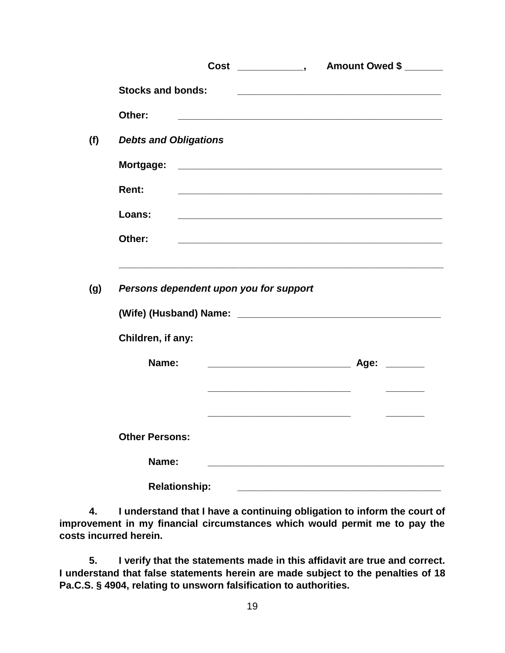|                              |                                                             | Cost _____________, Amount Owed \$ ______                                                                            |  |  |  |
|------------------------------|-------------------------------------------------------------|----------------------------------------------------------------------------------------------------------------------|--|--|--|
| <b>Stocks and bonds:</b>     |                                                             | <u> 1989 - Johann Stoff, amerikansk politiker (d. 1989)</u>                                                          |  |  |  |
| Other:                       |                                                             |                                                                                                                      |  |  |  |
| <b>Debts and Obligations</b> |                                                             |                                                                                                                      |  |  |  |
|                              |                                                             |                                                                                                                      |  |  |  |
| Rent:                        |                                                             |                                                                                                                      |  |  |  |
| Loans:                       | <u> 1990 - Johann Stoff, amerikansk politiker (d. 1980)</u> |                                                                                                                      |  |  |  |
| Other:                       |                                                             | <u> 1989 - Johann Stoff, amerikansk politiker (d. 1989)</u>                                                          |  |  |  |
| Children, if any:            |                                                             |                                                                                                                      |  |  |  |
| Name:                        |                                                             |                                                                                                                      |  |  |  |
|                              |                                                             | <u> 1989 - Johann Stein, mars an deutscher Stein und der Stein und der Stein und der Stein und der Stein und der</u> |  |  |  |
| <b>Other Persons:</b>        |                                                             |                                                                                                                      |  |  |  |
| Name:                        |                                                             |                                                                                                                      |  |  |  |
|                              | <b>Relationship:</b>                                        |                                                                                                                      |  |  |  |

**4. I understand that I have a continuing obligation to inform the court of improvement in my financial circumstances which would permit me to pay the costs incurred herein.** 

**5. I verify that the statements made in this affidavit are true and correct. I understand that false statements herein are made subject to the penalties of 18 Pa.C.S. § 4904, relating to unsworn falsification to authorities.**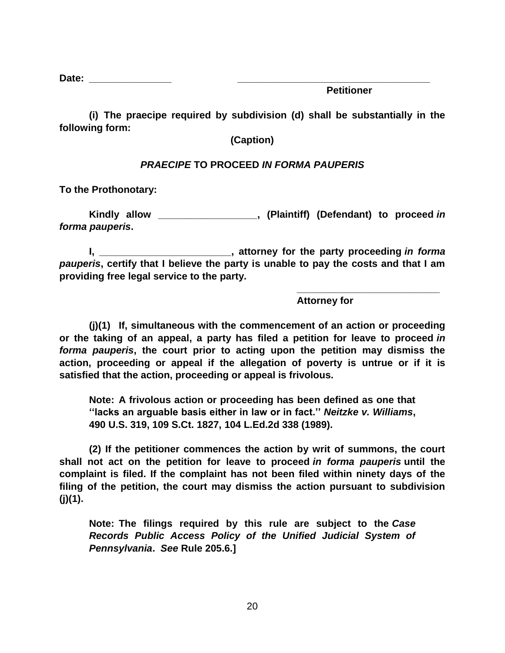**Date:**  $\blacksquare$ 

**Petitioner**

**(i) The praecipe required by subdivision (d) shall be substantially in the following form:**

**(Caption)**

### *PRAECIPE* **TO PROCEED** *IN FORMA PAUPERIS*

**To the Prothonotary:**

**Kindly allow \_\_\_\_\_\_\_\_\_\_\_\_\_\_\_\_\_\_, (Plaintiff) (Defendant) to proceed** *in forma pauperis***.**

**I, \_\_\_\_\_\_\_\_\_\_\_\_\_\_\_\_\_\_\_\_\_\_\_\_, attorney for the party proceeding** *in forma pauperis***, certify that I believe the party is unable to pay the costs and that I am providing free legal service to the party.**

 **\_\_\_\_\_\_\_\_\_\_\_\_\_\_\_\_\_\_\_\_\_\_\_\_\_\_**

**Attorney for**

**(j)(1) If, simultaneous with the commencement of an action or proceeding or the taking of an appeal, a party has filed a petition for leave to proceed** *in forma pauperis***, the court prior to acting upon the petition may dismiss the action, proceeding or appeal if the allegation of poverty is untrue or if it is satisfied that the action, proceeding or appeal is frivolous.**

**Note: A frivolous action or proceeding has been defined as one that ''lacks an arguable basis either in law or in fact.''** *Neitzke v. Williams***, 490 U.S. 319, 109 S.Ct. 1827, 104 L.Ed.2d 338 (1989).**

**(2) If the petitioner commences the action by writ of summons, the court shall not act on the petition for leave to proceed** *in forma pauperis* **until the complaint is filed. If the complaint has not been filed within ninety days of the filing of the petition, the court may dismiss the action pursuant to subdivision (j)(1).**

**Note: The filings required by this rule are subject to the** *Case Records Public Access Policy of the Unified Judicial System of Pennsylvania***.** *See* **Rule 205.6.]**